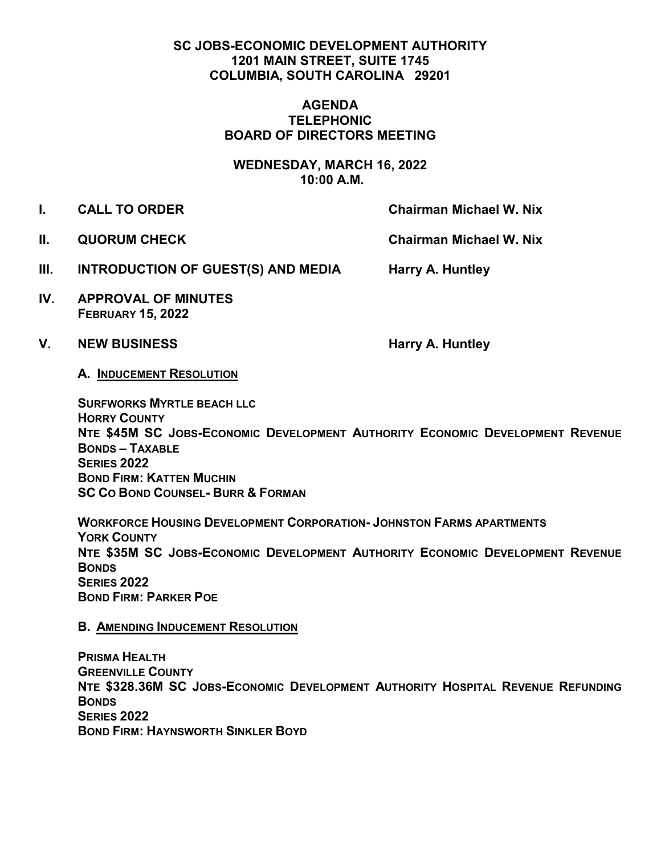# **SC JOBS-ECONOMIC DEVELOPMENT AUTHORITY 1201 MAIN STREET, SUITE 1745 COLUMBIA, SOUTH CAROLINA 29201**

## **AGENDA TELEPHONIC BOARD OF DIRECTORS MEETING**

**WEDNESDAY, MARCH 16, 2022 10:00 A.M.**

**I. CALL TO ORDER Chairman Michael W. Nix** 

**II. QUORUM CHECK Chairman Michael W. Nix** 

- **III.** INTRODUCTION OF GUEST(S) AND MEDIA Harry A. Huntley
- **IV. APPROVAL OF MINUTES FEBRUARY 15, 2022**

## V. NEW BUSINESS **Harry A. Huntley**

**A. INDUCEMENT RESOLUTION** 

**SURFWORKS MYRTLE BEACH LLC HORRY COUNTY NTE \$45M SC JOBS-ECONOMIC DEVELOPMENT AUTHORITY ECONOMIC DEVELOPMENT REVENUE BONDS – TAXABLE SERIES 2022 BOND FIRM: KATTEN MUCHIN SC CO BOND COUNSEL- BURR & FORMAN**

**WORKFORCE HOUSING DEVELOPMENT CORPORATION- JOHNSTON FARMS APARTMENTS YORK COUNTY NTE \$35M SC JOBS-ECONOMIC DEVELOPMENT AUTHORITY ECONOMIC DEVELOPMENT REVENUE BONDS SERIES 2022 BOND FIRM: PARKER POE** 

# **B. AMENDING INDUCEMENT RESOLUTION**

**PRISMA HEALTH GREENVILLE COUNTY NTE \$328.36M SC JOBS-ECONOMIC DEVELOPMENT AUTHORITY HOSPITAL REVENUE REFUNDING BONDS SERIES 2022 BOND FIRM: HAYNSWORTH SINKLER BOYD**